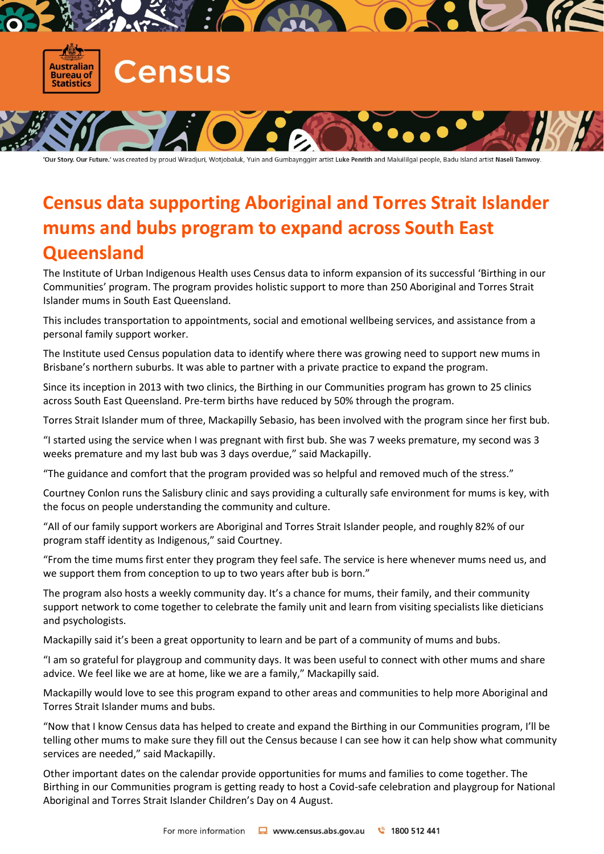

'Our Story. Our Future.' was created by proud Wiradjuri, Wotjobaluk, Yuin and Gumbaynggirr artist Luke Penrith and Maluililgal people, Badu Island artist Naseli Tamwoy.

## **Census data supporting Aboriginal and Torres Strait Islander mums and bubs program to expand across South East Queensland**

The Institute of Urban Indigenous Health uses Census data to inform expansion of its successful 'Birthing in our Communities' program. The program provides holistic support to more than 250 Aboriginal and Torres Strait Islander mums in South East Queensland.

This includes transportation to appointments, social and emotional wellbeing services, and assistance from a personal family support worker.

The Institute used Census population data to identify where there was growing need to support new mums in Brisbane's northern suburbs. It was able to partner with a private practice to expand the program.

Since its inception in 2013 with two clinics, the Birthing in our Communities program has grown to 25 clinics across South East Queensland. Pre-term births have reduced by 50% through the program.

Torres Strait Islander mum of three, Mackapilly Sebasio, has been involved with the program since her first bub.

"I started using the service when I was pregnant with first bub. She was 7 weeks premature, my second was 3 weeks premature and my last bub was 3 days overdue," said Mackapilly.

"The guidance and comfort that the program provided was so helpful and removed much of the stress."

Courtney Conlon runs the Salisbury clinic and says providing a culturally safe environment for mums is key, with the focus on people understanding the community and culture.

"All of our family support workers are Aboriginal and Torres Strait Islander people, and roughly 82% of our program staff identity as Indigenous," said Courtney.

"From the time mums first enter they program they feel safe. The service is here whenever mums need us, and we support them from conception to up to two years after bub is born."

The program also hosts a weekly community day. It's a chance for mums, their family, and their community support network to come together to celebrate the family unit and learn from visiting specialists like dieticians and psychologists.

Mackapilly said it's been a great opportunity to learn and be part of a community of mums and bubs.

"I am so grateful for playgroup and community days. It was been useful to connect with other mums and share advice. We feel like we are at home, like we are a family," Mackapilly said.

Mackapilly would love to see this program expand to other areas and communities to help more Aboriginal and Torres Strait Islander mums and bubs.

"Now that I know Census data has helped to create and expand the Birthing in our Communities program, I'll be telling other mums to make sure they fill out the Census because I can see how it can help show what community services are needed," said Mackapilly.

Other important dates on the calendar provide opportunities for mums and families to come together. The Birthing in our Communities program is getting ready to host a Covid-safe celebration and playgroup for National Aboriginal and Torres Strait Islander Children's Day on 4 August.